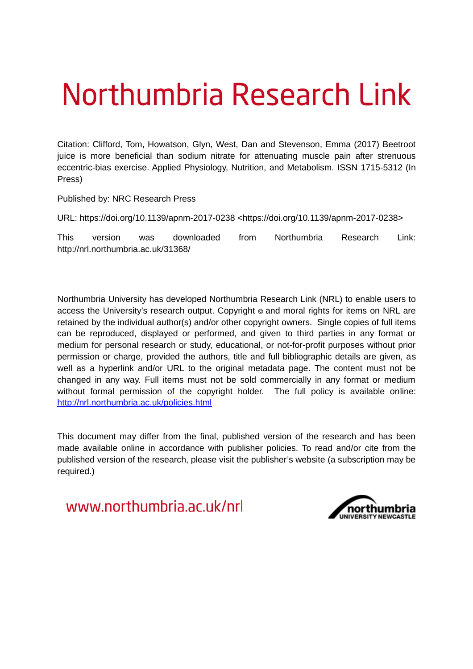# Northumbria Research Link

Citation: Clifford, Tom, Howatson, Glyn, West, Dan and Stevenson, Emma (2017) Beetroot juice is more beneficial than sodium nitrate for attenuating muscle pain after strenuous eccentric-bias exercise. Applied Physiology, Nutrition, and Metabolism. ISSN 1715-5312 (In Press)

Published by: NRC Research Press

URL: https://doi.org/10.1139/apnm-2017-0238 <https://doi.org/10.1139/apnm-2017-0238>

This version was downloaded from Northumbria Research Link: http://nrl.northumbria.ac.uk/31368/

Northumbria University has developed Northumbria Research Link (NRL) to enable users to access the University's research output. Copyright  $\circ$  and moral rights for items on NRL are retained by the individual author(s) and/or other copyright owners. Single copies of full items can be reproduced, displayed or performed, and given to third parties in any format or medium for personal research or study, educational, or not-for-profit purposes without prior permission or charge, provided the authors, title and full bibliographic details are given, as well as a hyperlink and/or URL to the original metadata page. The content must not be changed in any way. Full items must not be sold commercially in any format or medium without formal permission of the copyright holder. The full policy is available online: <http://nrl.northumbria.ac.uk/policies.html>

This document may differ from the final, published version of the research and has been made available online in accordance with publisher policies. To read and/or cite from the published version of the research, please visit the publisher's website (a subscription may be required.)

www.northumbria.ac.uk/nrl

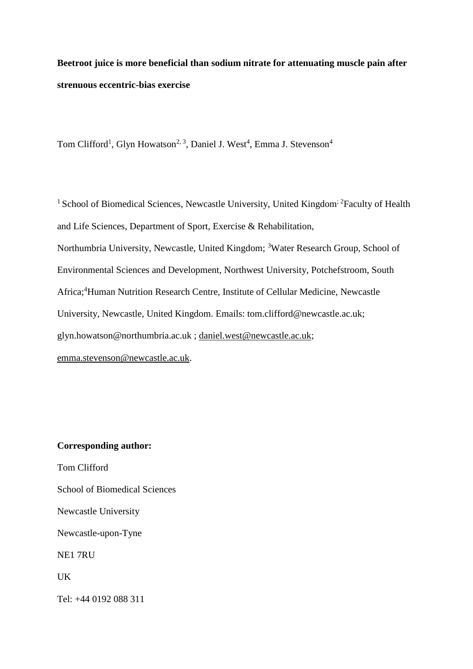## **Beetroot juice is more beneficial than sodium nitrate for attenuating muscle pain after strenuous eccentric-bias exercise**

Tom Clifford<sup>1</sup>, Glyn Howatson<sup>2, 3</sup>, Daniel J. West<sup>4</sup>, Emma J. Stevenson<sup>4</sup>

<sup>1</sup> School of Biomedical Sciences, Newcastle University, United Kingdom<sup>; 2</sup>Faculty of Health and Life Sciences, Department of Sport, Exercise & Rehabilitation, Northumbria University, Newcastle, United Kingdom; <sup>3</sup>Water Research Group, School of Environmental Sciences and Development, Northwest University, Potchefstroom, South Africa;<sup>4</sup>Human Nutrition Research Centre, Institute of Cellular Medicine, Newcastle University, Newcastle, United Kingdom. Emails: tom.clifford@newcastle.ac.uk; glyn.howatson@northumbria.ac.uk ; [daniel.west@newcastle.ac.uk;](mailto:daniel.west@newcastle.ac.uk) [emma.stevenson@newcastle.ac.uk.](mailto:emma.stevenson@newcastle.ac.uk)

### **Corresponding author:**

Tom Clifford School of Biomedical Sciences Newcastle University Newcastle-upon-Tyne NE1 7RU UK

Tel: +44 0192 088 311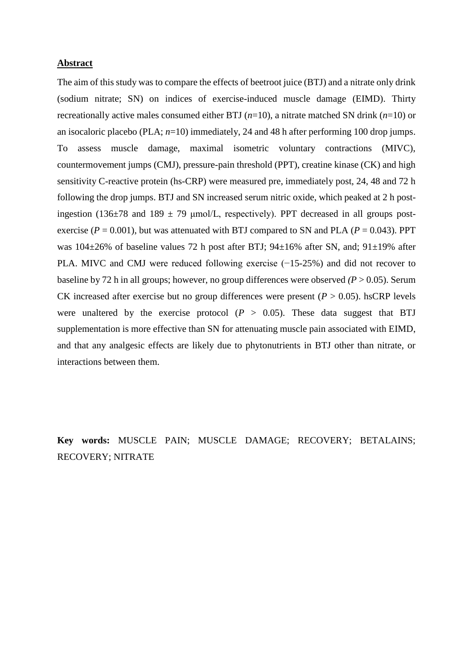#### **Abstract**

The aim of this study was to compare the effects of beetroot juice (BTJ) and a nitrate only drink (sodium nitrate; SN) on indices of exercise-induced muscle damage (EIMD). Thirty recreationally active males consumed either BTJ (*n*=10), a nitrate matched SN drink (*n*=10) or an isocaloric placebo (PLA; *n*=10) immediately, 24 and 48 h after performing 100 drop jumps. To assess muscle damage, maximal isometric voluntary contractions (MIVC), countermovement jumps (CMJ), pressure-pain threshold (PPT), creatine kinase (CK) and high sensitivity C-reactive protein (hs-CRP) were measured pre, immediately post, 24, 48 and 72 h following the drop jumps. BTJ and SN increased serum nitric oxide, which peaked at 2 h postingestion (136 $\pm$ 78 and 189  $\pm$  79 µmol/L, respectively). PPT decreased in all groups postexercise ( $P = 0.001$ ), but was attenuated with BTJ compared to SN and PLA ( $P = 0.043$ ). PPT was 104±26% of baseline values 72 h post after BTJ; 94±16% after SN, and; 91±19% after PLA. MIVC and CMJ were reduced following exercise (−15-25%) and did not recover to baseline by 72 h in all groups; however, no group differences were observed  $(P > 0.05)$ . Serum CK increased after exercise but no group differences were present  $(P > 0.05)$ . hsCRP levels were unaltered by the exercise protocol  $(P > 0.05)$ . These data suggest that BTJ supplementation is more effective than SN for attenuating muscle pain associated with EIMD, and that any analgesic effects are likely due to phytonutrients in BTJ other than nitrate, or interactions between them.

**Key words:** MUSCLE PAIN; MUSCLE DAMAGE; RECOVERY; BETALAINS; RECOVERY; NITRATE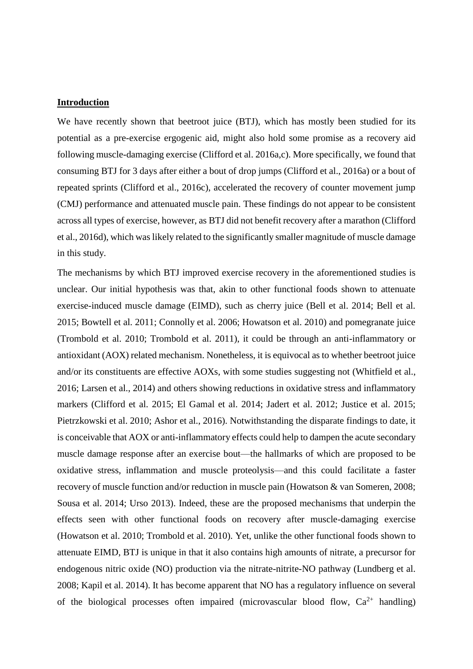#### **Introduction**

We have recently shown that beetroot juice (BTJ), which has mostly been studied for its potential as a pre-exercise ergogenic aid, might also hold some promise as a recovery aid following muscle-damaging exercise (Clifford et al. 2016a,c). More specifically, we found that consuming BTJ for 3 days after either a bout of drop jumps (Clifford et al., 2016a) or a bout of repeated sprints (Clifford et al., 2016c), accelerated the recovery of counter movement jump (CMJ) performance and attenuated muscle pain. These findings do not appear to be consistent across all types of exercise, however, as BTJ did not benefit recovery after a marathon (Clifford et al., 2016d), which was likely related to the significantly smaller magnitude of muscle damage in this study.

The mechanisms by which BTJ improved exercise recovery in the aforementioned studies is unclear. Our initial hypothesis was that, akin to other functional foods shown to attenuate exercise-induced muscle damage (EIMD), such as cherry juice (Bell et al. 2014; Bell et al. 2015; Bowtell et al. 2011; Connolly et al. 2006; Howatson et al. 2010) and pomegranate juice (Trombold et al. 2010; Trombold et al. 2011), it could be through an anti-inflammatory or antioxidant (AOX) related mechanism. Nonetheless, it is equivocal as to whether beetroot juice and/or its constituents are effective AOXs, with some studies suggesting not (Whitfield et al., 2016; Larsen et al., 2014) and others showing reductions in oxidative stress and inflammatory markers (Clifford et al. 2015; El Gamal et al. 2014; Jadert et al. 2012; Justice et al. 2015; Pietrzkowski et al. 2010; Ashor et al., 2016). Notwithstanding the disparate findings to date, it is conceivable that AOX or anti-inflammatory effects could help to dampen the acute secondary muscle damage response after an exercise bout—the hallmarks of which are proposed to be oxidative stress, inflammation and muscle proteolysis—and this could facilitate a faster recovery of muscle function and/or reduction in muscle pain (Howatson & van Someren, 2008; Sousa et al. 2014; Urso 2013). Indeed, these are the proposed mechanisms that underpin the effects seen with other functional foods on recovery after muscle-damaging exercise (Howatson et al. 2010; Trombold et al. 2010). Yet, unlike the other functional foods shown to attenuate EIMD, BTJ is unique in that it also contains high amounts of nitrate, a precursor for endogenous nitric oxide (NO) production via the nitrate-nitrite-NO pathway (Lundberg et al. 2008; Kapil et al. 2014). It has become apparent that NO has a regulatory influence on several of the biological processes often impaired (microvascular blood flow,  $Ca^{2+}$  handling)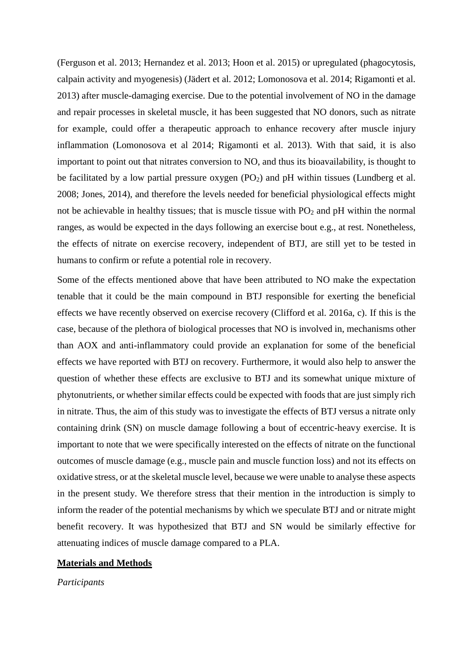(Ferguson et al. 2013; Hernandez et al. 2013; Hoon et al. 2015) or upregulated (phagocytosis, calpain activity and myogenesis) (Jädert et al. 2012; Lomonosova et al. 2014; Rigamonti et al. 2013) after muscle-damaging exercise. Due to the potential involvement of NO in the damage and repair processes in skeletal muscle, it has been suggested that NO donors, such as nitrate for example, could offer a therapeutic approach to enhance recovery after muscle injury inflammation (Lomonosova et al 2014; Rigamonti et al. 2013). With that said, it is also important to point out that nitrates conversion to NO, and thus its bioavailability, is thought to be facilitated by a low partial pressure oxygen  $(PO<sub>2</sub>)$  and pH within tissues (Lundberg et al. 2008; Jones, 2014), and therefore the levels needed for beneficial physiological effects might not be achievable in healthy tissues; that is muscle tissue with  $PO<sub>2</sub>$  and pH within the normal ranges, as would be expected in the days following an exercise bout e.g., at rest. Nonetheless, the effects of nitrate on exercise recovery, independent of BTJ, are still yet to be tested in humans to confirm or refute a potential role in recovery.

Some of the effects mentioned above that have been attributed to NO make the expectation tenable that it could be the main compound in BTJ responsible for exerting the beneficial effects we have recently observed on exercise recovery (Clifford et al. 2016a, c). If this is the case, because of the plethora of biological processes that NO is involved in, mechanisms other than AOX and anti-inflammatory could provide an explanation for some of the beneficial effects we have reported with BTJ on recovery. Furthermore, it would also help to answer the question of whether these effects are exclusive to BTJ and its somewhat unique mixture of phytonutrients, or whether similar effects could be expected with foods that are just simply rich in nitrate. Thus, the aim of this study was to investigate the effects of BTJ versus a nitrate only containing drink (SN) on muscle damage following a bout of eccentric-heavy exercise. It is important to note that we were specifically interested on the effects of nitrate on the functional outcomes of muscle damage (e.g., muscle pain and muscle function loss) and not its effects on oxidative stress, or at the skeletal muscle level, because we were unable to analyse these aspects in the present study. We therefore stress that their mention in the introduction is simply to inform the reader of the potential mechanisms by which we speculate BTJ and or nitrate might benefit recovery. It was hypothesized that BTJ and SN would be similarly effective for attenuating indices of muscle damage compared to a PLA.

#### **Materials and Methods**

*Participants*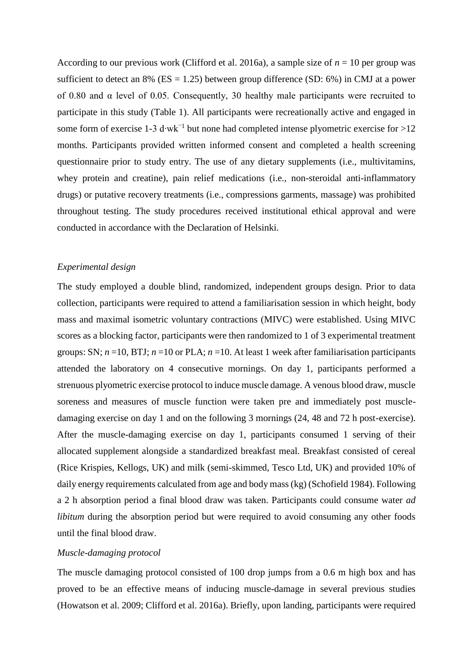According to our previous work (Clifford et al. 2016a), a sample size of  $n = 10$  per group was sufficient to detect an 8% ( $ES = 1.25$ ) between group difference (SD: 6%) in CMJ at a power of 0.80 and α level of 0.05. Consequently, 30 healthy male participants were recruited to participate in this study (Table 1). All participants were recreationally active and engaged in some form of exercise 1-3 d⋅wk<sup>-1</sup> but none had completed intense plyometric exercise for >12 months. Participants provided written informed consent and completed a health screening questionnaire prior to study entry. The use of any dietary supplements (i.e., multivitamins, whey protein and creatine), pain relief medications (i.e., non-steroidal anti-inflammatory drugs) or putative recovery treatments (i.e., compressions garments, massage) was prohibited throughout testing. The study procedures received institutional ethical approval and were conducted in accordance with the Declaration of Helsinki.

#### *Experimental design*

The study employed a double blind, randomized, independent groups design. Prior to data collection, participants were required to attend a familiarisation session in which height, body mass and maximal isometric voluntary contractions (MIVC) were established. Using MIVC scores as a blocking factor, participants were then randomized to 1 of 3 experimental treatment groups: SN;  $n = 10$ , BTJ;  $n = 10$  or PLA;  $n = 10$ . At least 1 week after familiarisation participants attended the laboratory on 4 consecutive mornings. On day 1, participants performed a strenuous plyometric exercise protocol to induce muscle damage. A venous blood draw, muscle soreness and measures of muscle function were taken pre and immediately post muscledamaging exercise on day 1 and on the following 3 mornings (24, 48 and 72 h post-exercise). After the muscle-damaging exercise on day 1, participants consumed 1 serving of their allocated supplement alongside a standardized breakfast meal. Breakfast consisted of cereal (Rice Krispies, Kellogs, UK) and milk (semi-skimmed, Tesco Ltd, UK) and provided 10% of daily energy requirements calculated from age and body mass (kg) (Schofield 1984). Following a 2 h absorption period a final blood draw was taken. Participants could consume water *ad libitum* during the absorption period but were required to avoid consuming any other foods until the final blood draw.

#### *Muscle-damaging protocol*

The muscle damaging protocol consisted of 100 drop jumps from a 0.6 m high box and has proved to be an effective means of inducing muscle-damage in several previous studies (Howatson et al. 2009; Clifford et al. 2016a). Briefly, upon landing, participants were required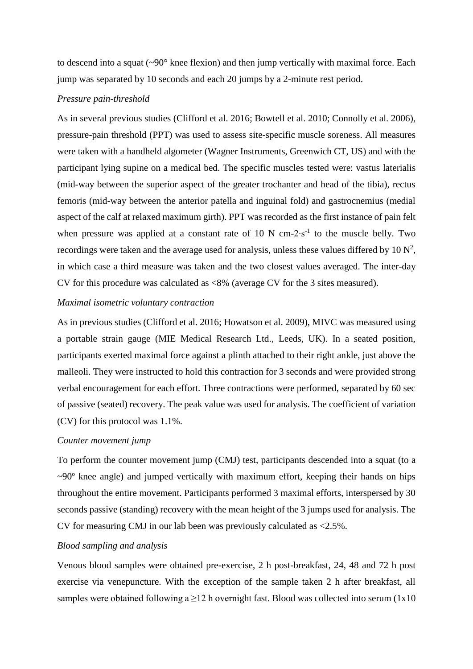to descend into a squat (~90° knee flexion) and then jump vertically with maximal force. Each jump was separated by 10 seconds and each 20 jumps by a 2-minute rest period.

#### *Pressure pain-threshold*

As in several previous studies (Clifford et al. 2016; Bowtell et al. 2010; Connolly et al. 2006), pressure-pain threshold (PPT) was used to assess site-specific muscle soreness. All measures were taken with a handheld algometer (Wagner Instruments, Greenwich CT, US) and with the participant lying supine on a medical bed. The specific muscles tested were: vastus laterialis (mid-way between the superior aspect of the greater trochanter and head of the tibia), rectus femoris (mid-way between the anterior patella and inguinal fold) and gastrocnemius (medial aspect of the calf at relaxed maximum girth). PPT was recorded as the first instance of pain felt when pressure was applied at a constant rate of 10 N cm-2⋅s<sup>-1</sup> to the muscle belly. Two recordings were taken and the average used for analysis, unless these values differed by 10  $\mathbb{N}^2$ , in which case a third measure was taken and the two closest values averaged. The inter-day CV for this procedure was calculated as <8% (average CV for the 3 sites measured).

#### *Maximal isometric voluntary contraction*

As in previous studies (Clifford et al. 2016; Howatson et al. 2009), MIVC was measured using a portable strain gauge (MIE Medical Research Ltd., Leeds, UK). In a seated position, participants exerted maximal force against a plinth attached to their right ankle, just above the malleoli. They were instructed to hold this contraction for 3 seconds and were provided strong verbal encouragement for each effort. Three contractions were performed, separated by 60 sec of passive (seated) recovery. The peak value was used for analysis. The coefficient of variation (CV) for this protocol was 1.1%.

#### *Counter movement jump*

To perform the counter movement jump (CMJ) test, participants descended into a squat (to a  $\sim 90^\circ$  knee angle) and jumped vertically with maximum effort, keeping their hands on hips throughout the entire movement. Participants performed 3 maximal efforts, interspersed by 30 seconds passive (standing) recovery with the mean height of the 3 jumps used for analysis. The CV for measuring CMJ in our lab been was previously calculated as <2.5%.

#### *Blood sampling and analysis*

Venous blood samples were obtained pre-exercise, 2 h post-breakfast, 24, 48 and 72 h post exercise via venepuncture. With the exception of the sample taken 2 h after breakfast, all samples were obtained following a  $\geq 12$  h overnight fast. Blood was collected into serum (1x10)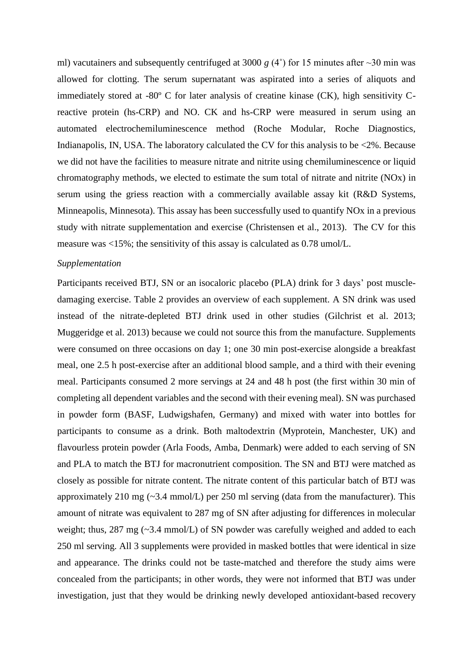ml) vacutainers and subsequently centrifuged at 3000  $g(4^{\circ})$  for 15 minutes after  $\sim$ 30 min was allowed for clotting. The serum supernatant was aspirated into a series of aliquots and immediately stored at -80º C for later analysis of creatine kinase (CK), high sensitivity Creactive protein (hs-CRP) and NO. CK and hs-CRP were measured in serum using an automated electrochemiluminescence method (Roche Modular, Roche Diagnostics, Indianapolis, IN, USA. The laboratory calculated the CV for this analysis to be <2%. Because we did not have the facilities to measure nitrate and nitrite using chemiluminescence or liquid chromatography methods, we elected to estimate the sum total of nitrate and nitrite (NOx) in serum using the griess reaction with a commercially available assay kit (R&D Systems, Minneapolis, Minnesota). This assay has been successfully used to quantify NOx in a previous study with nitrate supplementation and exercise (Christensen et al., 2013). The CV for this measure was <15%; the sensitivity of this assay is calculated as 0.78 umol/L.

#### *Supplementation*

Participants received BTJ, SN or an isocaloric placebo (PLA) drink for 3 days' post muscledamaging exercise. Table 2 provides an overview of each supplement. A SN drink was used instead of the nitrate-depleted BTJ drink used in other studies (Gilchrist et al. 2013; Muggeridge et al. 2013) because we could not source this from the manufacture. Supplements were consumed on three occasions on day 1; one 30 min post-exercise alongside a breakfast meal, one 2.5 h post-exercise after an additional blood sample, and a third with their evening meal. Participants consumed 2 more servings at 24 and 48 h post (the first within 30 min of completing all dependent variables and the second with their evening meal). SN was purchased in powder form (BASF, Ludwigshafen, Germany) and mixed with water into bottles for participants to consume as a drink. Both maltodextrin (Myprotein, Manchester, UK) and flavourless protein powder (Arla Foods, Amba, Denmark) were added to each serving of SN and PLA to match the BTJ for macronutrient composition. The SN and BTJ were matched as closely as possible for nitrate content. The nitrate content of this particular batch of BTJ was approximately 210 mg  $(\sim 3.4 \text{ mmol/L})$  per 250 ml serving (data from the manufacturer). This amount of nitrate was equivalent to 287 mg of SN after adjusting for differences in molecular weight; thus, 287 mg (~3.4 mmol/L) of SN powder was carefully weighed and added to each 250 ml serving. All 3 supplements were provided in masked bottles that were identical in size and appearance. The drinks could not be taste-matched and therefore the study aims were concealed from the participants; in other words, they were not informed that BTJ was under investigation, just that they would be drinking newly developed antioxidant-based recovery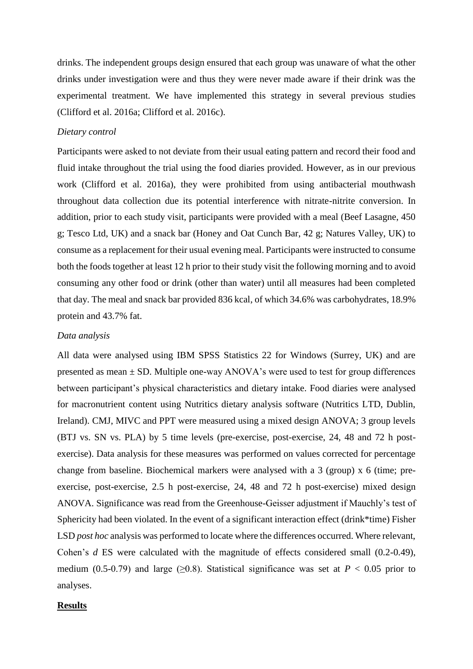drinks. The independent groups design ensured that each group was unaware of what the other drinks under investigation were and thus they were never made aware if their drink was the experimental treatment. We have implemented this strategy in several previous studies (Clifford et al. 2016a; Clifford et al. 2016c).

#### *Dietary control*

Participants were asked to not deviate from their usual eating pattern and record their food and fluid intake throughout the trial using the food diaries provided. However, as in our previous work (Clifford et al. 2016a), they were prohibited from using antibacterial mouthwash throughout data collection due its potential interference with nitrate-nitrite conversion. In addition, prior to each study visit, participants were provided with a meal (Beef Lasagne, 450 g; Tesco Ltd, UK) and a snack bar (Honey and Oat Cunch Bar, 42 g; Natures Valley, UK) to consume as a replacement for their usual evening meal. Participants were instructed to consume both the foods together at least 12 h prior to their study visit the following morning and to avoid consuming any other food or drink (other than water) until all measures had been completed that day. The meal and snack bar provided 836 kcal, of which 34.6% was carbohydrates, 18.9% protein and 43.7% fat.

#### *Data analysis*

All data were analysed using IBM SPSS Statistics 22 for Windows (Surrey, UK) and are presented as mean  $\pm$  SD. Multiple one-way ANOVA's were used to test for group differences between participant's physical characteristics and dietary intake. Food diaries were analysed for macronutrient content using Nutritics dietary analysis software (Nutritics LTD, Dublin, Ireland). CMJ, MIVC and PPT were measured using a mixed design ANOVA; 3 group levels (BTJ vs. SN vs. PLA) by 5 time levels (pre-exercise, post-exercise, 24, 48 and 72 h postexercise). Data analysis for these measures was performed on values corrected for percentage change from baseline. Biochemical markers were analysed with a 3 (group) x 6 (time; preexercise, post-exercise, 2.5 h post-exercise, 24, 48 and 72 h post-exercise) mixed design ANOVA. Significance was read from the Greenhouse-Geisser adjustment if Mauchly's test of Sphericity had been violated. In the event of a significant interaction effect (drink\*time) Fisher LSD *post hoc* analysis was performed to locate where the differences occurred. Where relevant, Cohen's *d* ES were calculated with the magnitude of effects considered small (0.2-0.49), medium (0.5-0.79) and large ( $\geq$ 0.8). Statistical significance was set at *P* < 0.05 prior to analyses.

#### **Results**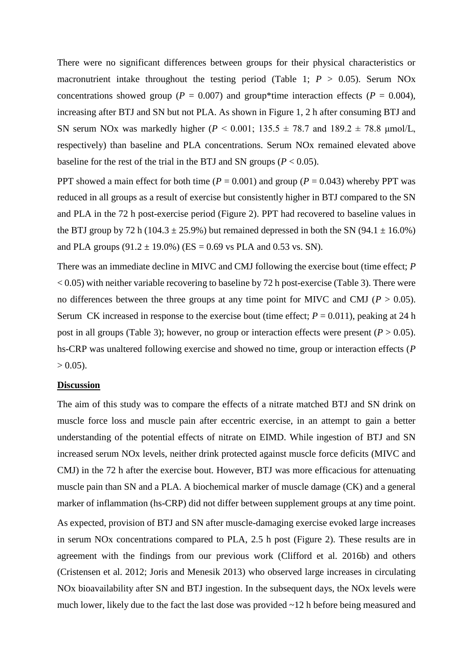There were no significant differences between groups for their physical characteristics or macronutrient intake throughout the testing period (Table 1;  $P > 0.05$ ). Serum NOx concentrations showed group ( $P = 0.007$ ) and group\*time interaction effects ( $P = 0.004$ ), increasing after BTJ and SN but not PLA. As shown in Figure 1, 2 h after consuming BTJ and SN serum NOx was markedly higher ( $P < 0.001$ ; 135.5  $\pm$  78.7 and 189.2  $\pm$  78.8 µmol/L, respectively) than baseline and PLA concentrations. Serum NOx remained elevated above baseline for the rest of the trial in the BTJ and SN groups  $(P < 0.05)$ .

PPT showed a main effect for both time ( $P = 0.001$ ) and group ( $P = 0.043$ ) whereby PPT was reduced in all groups as a result of exercise but consistently higher in BTJ compared to the SN and PLA in the 72 h post-exercise period (Figure 2). PPT had recovered to baseline values in the BTJ group by 72 h (104.3  $\pm$  25.9%) but remained depressed in both the SN (94.1  $\pm$  16.0%) and PLA groups  $(91.2 \pm 19.0\%)$  (ES = 0.69 vs PLA and 0.53 vs. SN).

There was an immediate decline in MIVC and CMJ following the exercise bout (time effect; *P*  $\langle 0.05 \rangle$  with neither variable recovering to baseline by 72 h post-exercise (Table 3). There were no differences between the three groups at any time point for MIVC and CMJ ( $P > 0.05$ ). Serum CK increased in response to the exercise bout (time effect;  $P = 0.011$ ), peaking at 24 h post in all groups (Table 3); however, no group or interaction effects were present ( $P > 0.05$ ). hs-CRP was unaltered following exercise and showed no time, group or interaction effects (*P*  $> 0.05$ ).

#### **Discussion**

The aim of this study was to compare the effects of a nitrate matched BTJ and SN drink on muscle force loss and muscle pain after eccentric exercise, in an attempt to gain a better understanding of the potential effects of nitrate on EIMD. While ingestion of BTJ and SN increased serum NOx levels, neither drink protected against muscle force deficits (MIVC and CMJ) in the 72 h after the exercise bout. However, BTJ was more efficacious for attenuating muscle pain than SN and a PLA. A biochemical marker of muscle damage (CK) and a general marker of inflammation (hs-CRP) did not differ between supplement groups at any time point. As expected, provision of BTJ and SN after muscle-damaging exercise evoked large increases in serum NOx concentrations compared to PLA, 2.5 h post (Figure 2). These results are in agreement with the findings from our previous work (Clifford et al. 2016b) and others (Cristensen et al. 2012; Joris and Menesik 2013) who observed large increases in circulating NOx bioavailability after SN and BTJ ingestion. In the subsequent days, the NOx levels were much lower, likely due to the fact the last dose was provided ~12 h before being measured and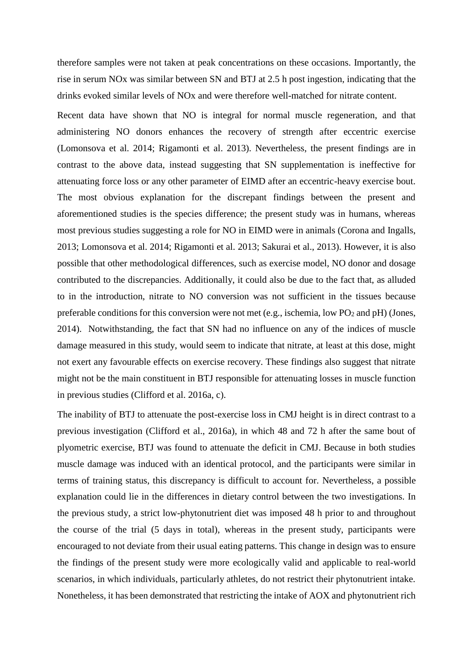therefore samples were not taken at peak concentrations on these occasions. Importantly, the rise in serum NOx was similar between SN and BTJ at 2.5 h post ingestion, indicating that the drinks evoked similar levels of NOx and were therefore well-matched for nitrate content.

Recent data have shown that NO is integral for normal muscle regeneration, and that administering NO donors enhances the recovery of strength after eccentric exercise (Lomonsova et al. 2014; Rigamonti et al. 2013). Nevertheless, the present findings are in contrast to the above data, instead suggesting that SN supplementation is ineffective for attenuating force loss or any other parameter of EIMD after an eccentric-heavy exercise bout. The most obvious explanation for the discrepant findings between the present and aforementioned studies is the species difference; the present study was in humans, whereas most previous studies suggesting a role for NO in EIMD were in animals (Corona and Ingalls, 2013; Lomonsova et al. 2014; Rigamonti et al. 2013; Sakurai et al., 2013). However, it is also possible that other methodological differences, such as exercise model, NO donor and dosage contributed to the discrepancies. Additionally, it could also be due to the fact that, as alluded to in the introduction, nitrate to NO conversion was not sufficient in the tissues because preferable conditions for this conversion were not met (e.g., ischemia, low  $PO_2$  and  $pH$ ) (Jones, 2014). Notwithstanding, the fact that SN had no influence on any of the indices of muscle damage measured in this study, would seem to indicate that nitrate, at least at this dose, might not exert any favourable effects on exercise recovery. These findings also suggest that nitrate might not be the main constituent in BTJ responsible for attenuating losses in muscle function in previous studies (Clifford et al. 2016a, c).

The inability of BTJ to attenuate the post-exercise loss in CMJ height is in direct contrast to a previous investigation (Clifford et al., 2016a), in which 48 and 72 h after the same bout of plyometric exercise, BTJ was found to attenuate the deficit in CMJ. Because in both studies muscle damage was induced with an identical protocol, and the participants were similar in terms of training status, this discrepancy is difficult to account for. Nevertheless, a possible explanation could lie in the differences in dietary control between the two investigations. In the previous study, a strict low-phytonutrient diet was imposed 48 h prior to and throughout the course of the trial (5 days in total), whereas in the present study, participants were encouraged to not deviate from their usual eating patterns. This change in design was to ensure the findings of the present study were more ecologically valid and applicable to real-world scenarios, in which individuals, particularly athletes, do not restrict their phytonutrient intake. Nonetheless, it has been demonstrated that restricting the intake of AOX and phytonutrient rich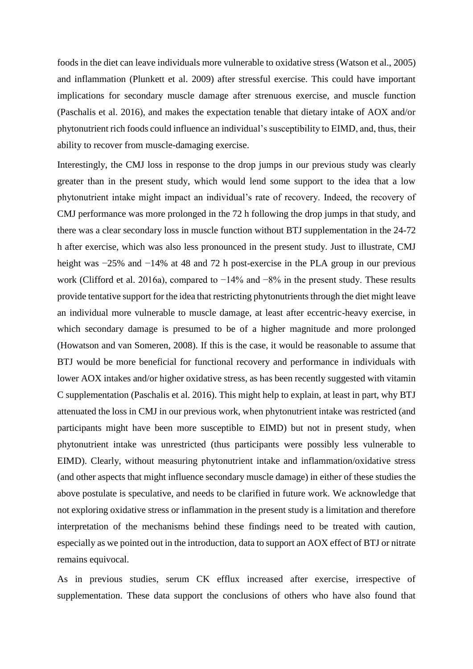foods in the diet can leave individuals more vulnerable to oxidative stress (Watson et al., 2005) and inflammation (Plunkett et al. 2009) after stressful exercise. This could have important implications for secondary muscle damage after strenuous exercise, and muscle function (Paschalis et al. 2016), and makes the expectation tenable that dietary intake of AOX and/or phytonutrient rich foods could influence an individual's susceptibility to EIMD, and, thus, their ability to recover from muscle-damaging exercise.

Interestingly, the CMJ loss in response to the drop jumps in our previous study was clearly greater than in the present study, which would lend some support to the idea that a low phytonutrient intake might impact an individual's rate of recovery. Indeed, the recovery of CMJ performance was more prolonged in the 72 h following the drop jumps in that study, and there was a clear secondary loss in muscle function without BTJ supplementation in the 24-72 h after exercise, which was also less pronounced in the present study. Just to illustrate, CMJ height was −25% and −14% at 48 and 72 h post-exercise in the PLA group in our previous work (Clifford et al. 2016a), compared to −14% and −8% in the present study. These results provide tentative support for the idea that restricting phytonutrients through the diet might leave an individual more vulnerable to muscle damage, at least after eccentric-heavy exercise, in which secondary damage is presumed to be of a higher magnitude and more prolonged (Howatson and van Someren, 2008). If this is the case, it would be reasonable to assume that BTJ would be more beneficial for functional recovery and performance in individuals with lower AOX intakes and/or higher oxidative stress, as has been recently suggested with vitamin C supplementation (Paschalis et al. 2016). This might help to explain, at least in part, why BTJ attenuated the loss in CMJ in our previous work, when phytonutrient intake was restricted (and participants might have been more susceptible to EIMD) but not in present study, when phytonutrient intake was unrestricted (thus participants were possibly less vulnerable to EIMD). Clearly, without measuring phytonutrient intake and inflammation/oxidative stress (and other aspects that might influence secondary muscle damage) in either of these studies the above postulate is speculative, and needs to be clarified in future work. We acknowledge that not exploring oxidative stress or inflammation in the present study is a limitation and therefore interpretation of the mechanisms behind these findings need to be treated with caution, especially as we pointed out in the introduction, data to support an AOX effect of BTJ or nitrate remains equivocal.

As in previous studies, serum CK efflux increased after exercise, irrespective of supplementation. These data support the conclusions of others who have also found that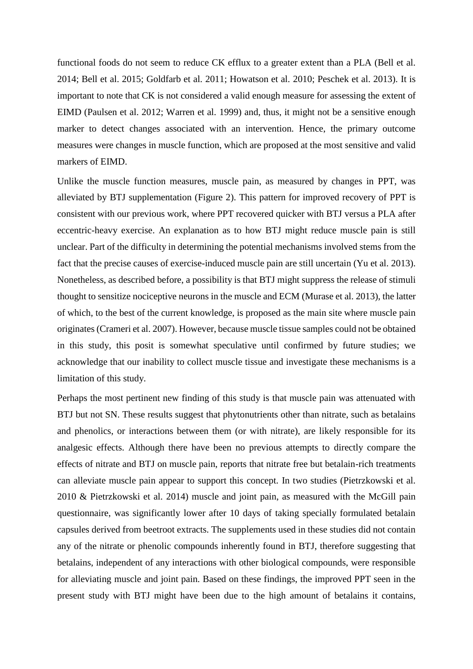functional foods do not seem to reduce CK efflux to a greater extent than a PLA (Bell et al. 2014; Bell et al. 2015; Goldfarb et al. 2011; Howatson et al. 2010; Peschek et al. 2013). It is important to note that CK is not considered a valid enough measure for assessing the extent of EIMD (Paulsen et al. 2012; Warren et al. 1999) and, thus, it might not be a sensitive enough marker to detect changes associated with an intervention. Hence, the primary outcome measures were changes in muscle function, which are proposed at the most sensitive and valid markers of EIMD.

Unlike the muscle function measures, muscle pain, as measured by changes in PPT, was alleviated by BTJ supplementation (Figure 2). This pattern for improved recovery of PPT is consistent with our previous work, where PPT recovered quicker with BTJ versus a PLA after eccentric-heavy exercise. An explanation as to how BTJ might reduce muscle pain is still unclear. Part of the difficulty in determining the potential mechanisms involved stems from the fact that the precise causes of exercise-induced muscle pain are still uncertain (Yu et al. 2013). Nonetheless, as described before, a possibility is that BTJ might suppress the release of stimuli thought to sensitize nociceptive neurons in the muscle and ECM (Murase et al. 2013), the latter of which, to the best of the current knowledge, is proposed as the main site where muscle pain originates (Crameri et al. 2007). However, because muscle tissue samples could not be obtained in this study, this posit is somewhat speculative until confirmed by future studies; we acknowledge that our inability to collect muscle tissue and investigate these mechanisms is a limitation of this study.

Perhaps the most pertinent new finding of this study is that muscle pain was attenuated with BTJ but not SN. These results suggest that phytonutrients other than nitrate, such as betalains and phenolics, or interactions between them (or with nitrate), are likely responsible for its analgesic effects. Although there have been no previous attempts to directly compare the effects of nitrate and BTJ on muscle pain, reports that nitrate free but betalain-rich treatments can alleviate muscle pain appear to support this concept. In two studies (Pietrzkowski et al. 2010 & Pietrzkowski et al. 2014) muscle and joint pain, as measured with the McGill pain questionnaire, was significantly lower after 10 days of taking specially formulated betalain capsules derived from beetroot extracts. The supplements used in these studies did not contain any of the nitrate or phenolic compounds inherently found in BTJ, therefore suggesting that betalains, independent of any interactions with other biological compounds, were responsible for alleviating muscle and joint pain. Based on these findings, the improved PPT seen in the present study with BTJ might have been due to the high amount of betalains it contains,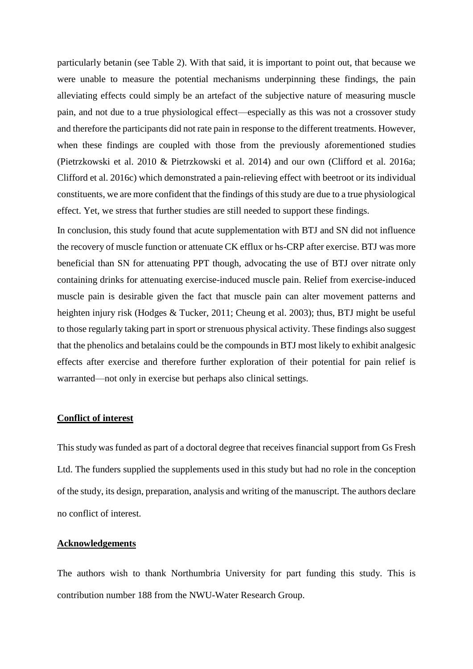particularly betanin (see Table 2). With that said, it is important to point out, that because we were unable to measure the potential mechanisms underpinning these findings, the pain alleviating effects could simply be an artefact of the subjective nature of measuring muscle pain, and not due to a true physiological effect—especially as this was not a crossover study and therefore the participants did not rate pain in response to the different treatments. However, when these findings are coupled with those from the previously aforementioned studies (Pietrzkowski et al. 2010 & Pietrzkowski et al. 2014) and our own (Clifford et al. 2016a; Clifford et al. 2016c) which demonstrated a pain-relieving effect with beetroot or its individual constituents, we are more confident that the findings of this study are due to a true physiological effect. Yet, we stress that further studies are still needed to support these findings.

In conclusion, this study found that acute supplementation with BTJ and SN did not influence the recovery of muscle function or attenuate CK efflux or hs-CRP after exercise. BTJ was more beneficial than SN for attenuating PPT though, advocating the use of BTJ over nitrate only containing drinks for attenuating exercise-induced muscle pain. Relief from exercise-induced muscle pain is desirable given the fact that muscle pain can alter movement patterns and heighten injury risk (Hodges & Tucker, 2011; Cheung et al. 2003); thus, BTJ might be useful to those regularly taking part in sport or strenuous physical activity. These findings also suggest that the phenolics and betalains could be the compounds in BTJ most likely to exhibit analgesic effects after exercise and therefore further exploration of their potential for pain relief is warranted—not only in exercise but perhaps also clinical settings.

#### **Conflict of interest**

This study was funded as part of a doctoral degree that receives financial support from Gs Fresh Ltd. The funders supplied the supplements used in this study but had no role in the conception of the study, its design, preparation, analysis and writing of the manuscript. The authors declare no conflict of interest.

#### **Acknowledgements**

The authors wish to thank Northumbria University for part funding this study. This is contribution number 188 from the NWU-Water Research Group.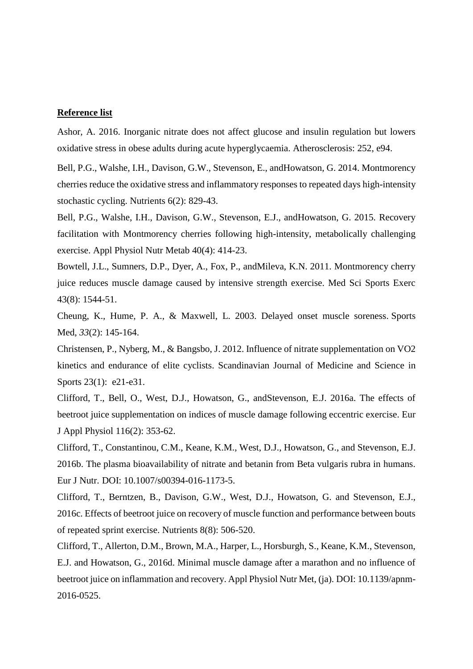#### **Reference list**

Ashor, A. 2016. Inorganic nitrate does not affect glucose and insulin regulation but lowers oxidative stress in obese adults during acute hyperglycaemia. Atherosclerosis: 252, e94.

Bell, P.G., Walshe, I.H., Davison, G.W., Stevenson, E., andHowatson, G. 2014. Montmorency cherries reduce the oxidative stress and inflammatory responses to repeated days high-intensity stochastic cycling. Nutrients 6(2): 829-43.

Bell, P.G., Walshe, I.H., Davison, G.W., Stevenson, E.J., andHowatson, G. 2015. Recovery facilitation with Montmorency cherries following high-intensity, metabolically challenging exercise. Appl Physiol Nutr Metab 40(4): 414-23.

Bowtell, J.L., Sumners, D.P., Dyer, A., Fox, P., andMileva, K.N. 2011. Montmorency cherry juice reduces muscle damage caused by intensive strength exercise. Med Sci Sports Exerc 43(8): 1544-51.

Cheung, K., Hume, P. A., & Maxwell, L. 2003. Delayed onset muscle soreness. Sports Med, *33*(2): 145-164.

Christensen, P., Nyberg, M., & Bangsbo, J. 2012. Influence of nitrate supplementation on VO2 kinetics and endurance of elite cyclists. Scandinavian Journal of Medicine and Science in Sports 23(1): e21-e31.

Clifford, T., Bell, O., West, D.J., Howatson, G., andStevenson, E.J. 2016a. The effects of beetroot juice supplementation on indices of muscle damage following eccentric exercise. Eur J Appl Physiol 116(2): 353-62.

Clifford, T., Constantinou, C.M., Keane, K.M., West, D.J., Howatson, G., and Stevenson, E.J. 2016b. The plasma bioavailability of nitrate and betanin from Beta vulgaris rubra in humans. Eur J Nutr. DOI: 10.1007/s00394-016-1173-5.

Clifford, T., Berntzen, B., Davison, G.W., West, D.J., Howatson, G. and Stevenson, E.J., 2016c. Effects of beetroot juice on recovery of muscle function and performance between bouts of repeated sprint exercise. Nutrients 8(8): 506-520.

Clifford, T., Allerton, D.M., Brown, M.A., Harper, L., Horsburgh, S., Keane, K.M., Stevenson, E.J. and Howatson, G., 2016d. Minimal muscle damage after a marathon and no influence of beetroot juice on inflammation and recovery. Appl Physiol Nutr Met, (ja). DOI: 10.1139/apnm-2016-0525.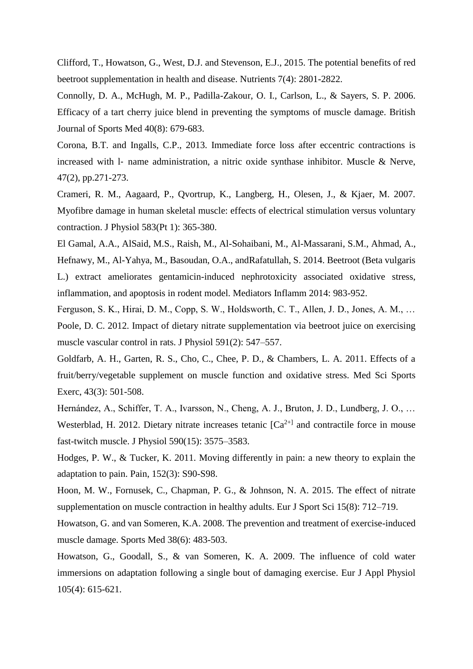Clifford, T., Howatson, G., West, D.J. and Stevenson, E.J., 2015. The potential benefits of red beetroot supplementation in health and disease. Nutrients 7(4): 2801-2822.

Connolly, D. A., McHugh, M. P., Padilla-Zakour, O. I., Carlson, L., & Sayers, S. P. 2006. Efficacy of a tart cherry juice blend in preventing the symptoms of muscle damage. British Journal of Sports Med 40(8): 679-683.

Corona, B.T. and Ingalls, C.P., 2013. Immediate force loss after eccentric contractions is increased with  $l$ - name administration, a nitric oxide synthase inhibitor. Muscle  $\&$  Nerve, 47(2), pp.271-273.

Crameri, R. M., Aagaard, P., Qvortrup, K., Langberg, H., Olesen, J., & Kjaer, M. 2007. Myofibre damage in human skeletal muscle: effects of electrical stimulation versus voluntary contraction. J Physiol 583(Pt 1): 365-380.

El Gamal, A.A., AlSaid, M.S., Raish, M., Al-Sohaibani, M., Al-Massarani, S.M., Ahmad, A., Hefnawy, M., Al-Yahya, M., Basoudan, O.A., andRafatullah, S. 2014. Beetroot (Beta vulgaris L.) extract ameliorates gentamicin-induced nephrotoxicity associated oxidative stress, inflammation, and apoptosis in rodent model. Mediators Inflamm 2014: 983-952.

Ferguson, S. K., Hirai, D. M., Copp, S. W., Holdsworth, C. T., Allen, J. D., Jones, A. M., … Poole, D. C. 2012. Impact of dietary nitrate supplementation via beetroot juice on exercising muscle vascular control in rats. J Physiol 591(2): 547–557.

Goldfarb, A. H., Garten, R. S., Cho, C., Chee, P. D., & Chambers, L. A. 2011. Effects of a fruit/berry/vegetable supplement on muscle function and oxidative stress. Med Sci Sports Exerc, 43(3): 501-508.

Hernández, A., Schiffer, T. A., Ivarsson, N., Cheng, A. J., Bruton, J. D., Lundberg, J. O., … Westerblad, H. 2012. Dietary nitrate increases tetanic  $[Ca^{2+1}]$  and contractile force in mouse fast-twitch muscle. J Physiol 590(15): 3575–3583.

Hodges, P. W., & Tucker, K. 2011. Moving differently in pain: a new theory to explain the adaptation to pain. Pain, 152(3): S90-S98.

Hoon, M. W., Fornusek, C., Chapman, P. G., & Johnson, N. A. 2015. The effect of nitrate supplementation on muscle contraction in healthy adults. Eur J Sport Sci 15(8): 712–719.

Howatson, G. and van Someren, K.A. 2008. The prevention and treatment of exercise-induced muscle damage. Sports Med 38(6): 483-503.

Howatson, G., Goodall, S., & van Someren, K. A. 2009. The influence of cold water immersions on adaptation following a single bout of damaging exercise. Eur J Appl Physiol 105(4): 615-621.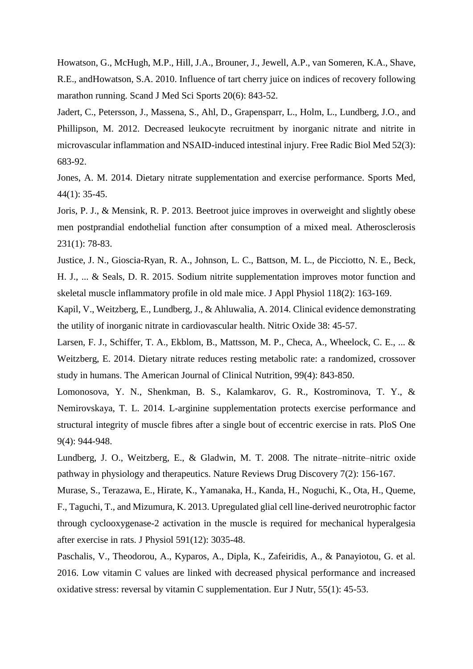Howatson, G., McHugh, M.P., Hill, J.A., Brouner, J., Jewell, A.P., van Someren, K.A., Shave, R.E., andHowatson, S.A. 2010. Influence of tart cherry juice on indices of recovery following marathon running. Scand J Med Sci Sports 20(6): 843-52.

Jadert, C., Petersson, J., Massena, S., Ahl, D., Grapensparr, L., Holm, L., Lundberg, J.O., and Phillipson, M. 2012. Decreased leukocyte recruitment by inorganic nitrate and nitrite in microvascular inflammation and NSAID-induced intestinal injury. Free Radic Biol Med 52(3): 683-92.

Jones, A. M. 2014. Dietary nitrate supplementation and exercise performance. Sports Med, 44(1): 35-45.

Joris, P. J., & Mensink, R. P. 2013. Beetroot juice improves in overweight and slightly obese men postprandial endothelial function after consumption of a mixed meal. Atherosclerosis 231(1): 78-83.

Justice, J. N., Gioscia-Ryan, R. A., Johnson, L. C., Battson, M. L., de Picciotto, N. E., Beck, H. J., ... & Seals, D. R. 2015. Sodium nitrite supplementation improves motor function and skeletal muscle inflammatory profile in old male mice. J Appl Physiol 118(2): 163-169.

Kapil, V., Weitzberg, E., Lundberg, J., & Ahluwalia, A. 2014. Clinical evidence demonstrating the utility of inorganic nitrate in cardiovascular health. Nitric Oxide 38: 45-57.

Larsen, F. J., Schiffer, T. A., Ekblom, B., Mattsson, M. P., Checa, A., Wheelock, C. E., ... & Weitzberg, E. 2014. Dietary nitrate reduces resting metabolic rate: a randomized, crossover study in humans. The American Journal of Clinical Nutrition, 99(4): 843-850.

Lomonosova, Y. N., Shenkman, B. S., Kalamkarov, G. R., Kostrominova, T. Y., & Nemirovskaya, T. L. 2014. L-arginine supplementation protects exercise performance and structural integrity of muscle fibres after a single bout of eccentric exercise in rats. PloS One 9(4): 944-948.

Lundberg, J. O., Weitzberg, E., & Gladwin, M. T. 2008. The nitrate–nitrite–nitric oxide pathway in physiology and therapeutics. Nature Reviews Drug Discovery 7(2): 156-167.

Murase, S., Terazawa, E., Hirate, K., Yamanaka, H., Kanda, H., Noguchi, K., Ota, H., Queme, F., Taguchi, T., and Mizumura, K. 2013. Upregulated glial cell line-derived neurotrophic factor through cyclooxygenase-2 activation in the muscle is required for mechanical hyperalgesia after exercise in rats. J Physiol 591(12): 3035-48.

Paschalis, V., Theodorou, A., Kyparos, A., Dipla, K., Zafeiridis, A., & Panayiotou, G. et al. 2016. Low vitamin C values are linked with decreased physical performance and increased oxidative stress: reversal by vitamin C supplementation. Eur J Nutr, 55(1): 45-53.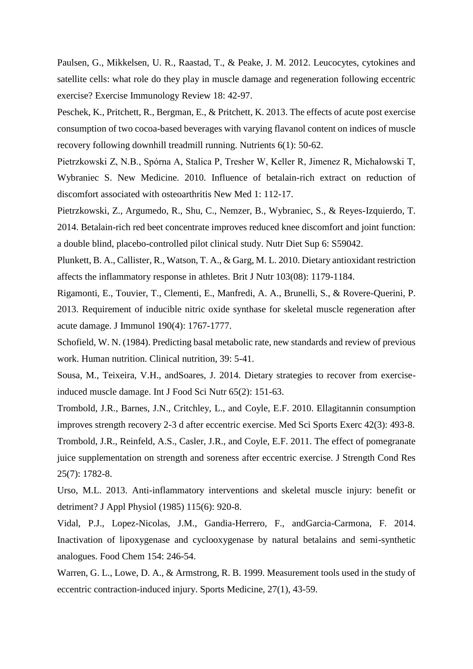Paulsen, G., Mikkelsen, U. R., Raastad, T., & Peake, J. M. 2012. Leucocytes, cytokines and satellite cells: what role do they play in muscle damage and regeneration following eccentric exercise? Exercise Immunology Review 18: 42-97.

Peschek, K., Pritchett, R., Bergman, E., & Pritchett, K. 2013. The effects of acute post exercise consumption of two cocoa-based beverages with varying flavanol content on indices of muscle recovery following downhill treadmill running. Nutrients 6(1): 50-62.

Pietrzkowski Z, N.B., Spórna A, Stalica P, Tresher W, Keller R, Jimenez R, Michałowski T, Wybraniec S. New Medicine. 2010. Influence of betalain-rich extract on reduction of discomfort associated with osteoarthritis New Med 1: 112-17.

Pietrzkowski, Z., Argumedo, R., Shu, C., Nemzer, B., Wybraniec, S., & Reyes-Izquierdo, T. 2014. Betalain-rich red beet concentrate improves reduced knee discomfort and joint function: a double blind, placebo-controlled pilot clinical study. Nutr Diet Sup 6: S59042.

Plunkett, B. A., Callister, R., Watson, T. A., & Garg, M. L. 2010. Dietary antioxidant restriction affects the inflammatory response in athletes. Brit J Nutr 103(08): 1179-1184.

Rigamonti, E., Touvier, T., Clementi, E., Manfredi, A. A., Brunelli, S., & Rovere-Querini, P. 2013. Requirement of inducible nitric oxide synthase for skeletal muscle regeneration after acute damage. J Immunol 190(4): 1767-1777.

Schofield, W. N. (1984). Predicting basal metabolic rate, new standards and review of previous work. Human nutrition. Clinical nutrition, 39: 5-41.

Sousa, M., Teixeira, V.H., andSoares, J. 2014. Dietary strategies to recover from exerciseinduced muscle damage. Int J Food Sci Nutr 65(2): 151-63.

Trombold, J.R., Barnes, J.N., Critchley, L., and Coyle, E.F. 2010. Ellagitannin consumption improves strength recovery 2-3 d after eccentric exercise. Med Sci Sports Exerc 42(3): 493-8.

Trombold, J.R., Reinfeld, A.S., Casler, J.R., and Coyle, E.F. 2011. The effect of pomegranate juice supplementation on strength and soreness after eccentric exercise. J Strength Cond Res 25(7): 1782-8.

Urso, M.L. 2013. Anti-inflammatory interventions and skeletal muscle injury: benefit or detriment? J Appl Physiol (1985) 115(6): 920-8.

Vidal, P.J., Lopez-Nicolas, J.M., Gandia-Herrero, F., andGarcia-Carmona, F. 2014. Inactivation of lipoxygenase and cyclooxygenase by natural betalains and semi-synthetic analogues. Food Chem 154: 246-54.

Warren, G. L., Lowe, D. A., & Armstrong, R. B. 1999. Measurement tools used in the study of eccentric contraction-induced injury. Sports Medicine, 27(1), 43-59.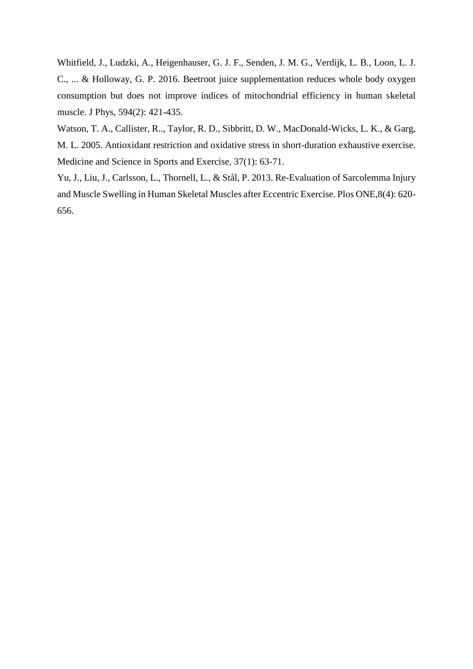Whitfield, J., Ludzki, A., Heigenhauser, G. J. F., Senden, J. M. G., Verdijk, L. B., Loon, L. J. C., ... & Holloway, G. P. 2016. Beetroot juice supplementation reduces whole body oxygen consumption but does not improve indices of mitochondrial efficiency in human skeletal muscle. J Phys, 594(2): 421-435.

Watson, T. A., Callister, R.., Taylor, R. D., Sibbritt, D. W., MacDonald-Wicks, L. K., & Garg, M. L. 2005. Antioxidant restriction and oxidative stress in short-duration exhaustive exercise. Medicine and Science in Sports and Exercise, 37(1): 63-71.

Yu, J., Liu, J., Carlsson, L., Thornell, L., & Stål, P. 2013. Re-Evaluation of Sarcolemma Injury and Muscle Swelling in Human Skeletal Muscles after Eccentric Exercise. Plos ONE,8(4): 620- 656.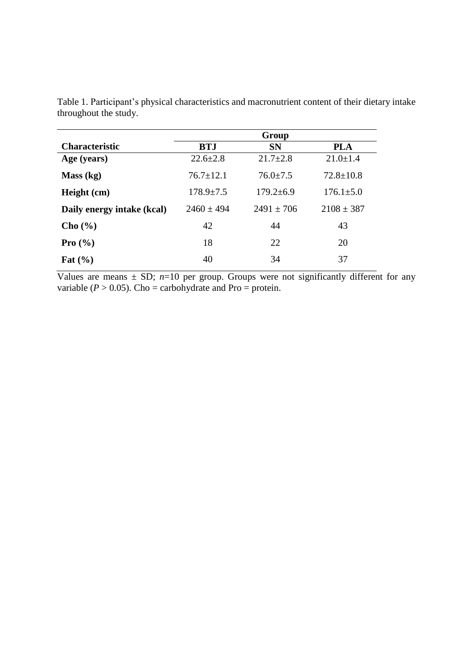|                            | Group           |                 |                 |  |  |
|----------------------------|-----------------|-----------------|-----------------|--|--|
| <b>Characteristic</b>      | <b>BTJ</b>      | <b>SN</b>       | <b>PLA</b>      |  |  |
| Age (years)                | $22.6 \pm 2.8$  | $21.7 \pm 2.8$  | $21.0 \pm 1.4$  |  |  |
| Mass (kg)                  | $76.7 \pm 12.1$ | $76.0 \pm 7.5$  | $72.8 \pm 10.8$ |  |  |
| Height (cm)                | $178.9 \pm 7.5$ | $179.2 \pm 6.9$ | $176.1 \pm 5.0$ |  |  |
| Daily energy intake (kcal) | $2460 \pm 494$  | $2491 \pm 706$  | $2108 \pm 387$  |  |  |
| Cho(%)                     | 42              | 44              | 43              |  |  |
| Pro $(\% )$                | 18              | 22              | 20              |  |  |
| Fat $(\% )$                | 40              | 34              | 37              |  |  |

Table 1. Participant's physical characteristics and macronutrient content of their dietary intake throughout the study.

Values are means  $\pm$  SD;  $n=10$  per group. Groups were not significantly different for any variable ( $P > 0.05$ ). Cho = carbohydrate and Pro = protein.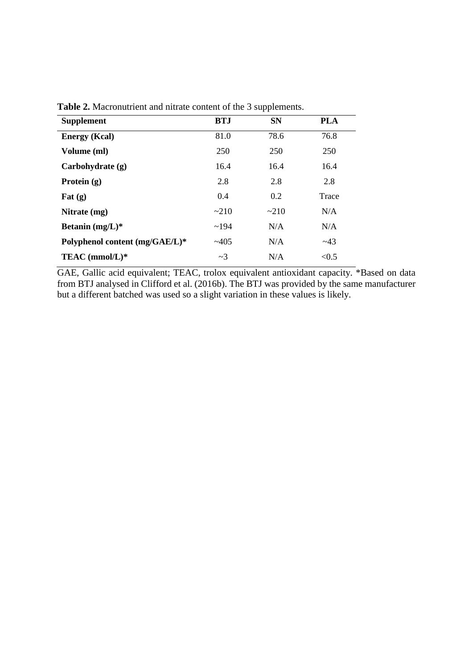| <b>Supplement</b>              | <b>BTJ</b> | <b>SN</b> | <b>PLA</b> |  |
|--------------------------------|------------|-----------|------------|--|
| <b>Energy (Kcal)</b>           | 81.0       | 78.6      | 76.8       |  |
| Volume (ml)                    | 250        | 250       | 250        |  |
| Carbohydrate (g)               | 16.4       | 16.4      | 16.4       |  |
| Protein $(g)$                  | 2.8        | 2.8       | 2.8        |  |
| $\mathbf{Fat}(\mathbf{g})$     | 0.4        | 0.2       | Trace      |  |
| Nitrate (mg)                   | ~210       | ~210      | N/A        |  |
| Betanin $(mg/L)^*$             | ~194       | N/A       | N/A        |  |
| Polyphenol content (mg/GAE/L)* | ~1405      | N/A       | ~1.43      |  |
| $TEAC$ (mmol/L)*               | $\sim$ 3   | N/A       | < 0.5      |  |

**Table 2.** Macronutrient and nitrate content of the 3 supplements.

GAE, Gallic acid equivalent; TEAC, trolox equivalent antioxidant capacity. \*Based on data from BTJ analysed in Clifford et al. (2016b). The BTJ was provided by the same manufacturer but a different batched was used so a slight variation in these values is likely.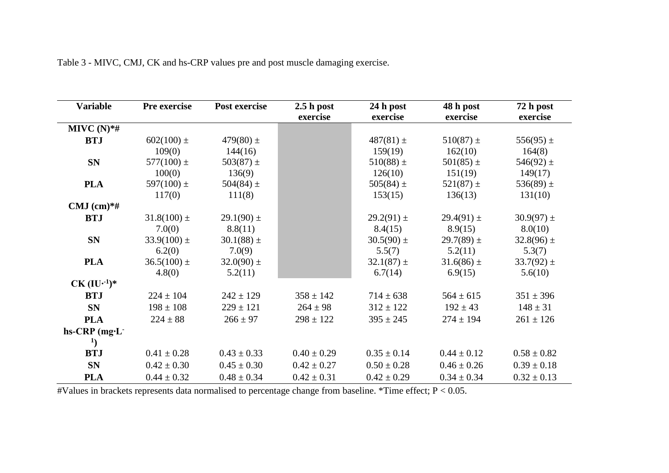| <b>Variable</b>                  | Pre exercise    | Post exercise   | $2.5h$ post     | 24 h post       | 48 h post       | 72 h post       |
|----------------------------------|-----------------|-----------------|-----------------|-----------------|-----------------|-----------------|
|                                  |                 |                 | exercise        | exercise        | exercise        | exercise        |
| MIVC $(N)*#$                     |                 |                 |                 |                 |                 |                 |
| <b>BTJ</b>                       | $602(100) \pm$  | $479(80) \pm$   |                 | $487(81) \pm$   | $510(87) \pm$   | $556(95) \pm$   |
|                                  | 109(0)          | 144(16)         |                 | 159(19)         | 162(10)         | 164(8)          |
| <b>SN</b>                        | $577(100) \pm$  | $503(87) \pm$   |                 | $510(88) \pm$   | $501(85) \pm$   | $546(92) \pm$   |
|                                  | 100(0)          | 136(9)          |                 | 126(10)         | 151(19)         | 149(17)         |
| <b>PLA</b>                       | $597(100) \pm$  | $504(84) \pm$   |                 | $505(84) \pm$   | $521(87) \pm$   | $536(89) \pm$   |
|                                  | 117(0)          | 111(8)          |                 | 153(15)         | 136(13)         | 131(10)         |
| CMJ $(cm)*#$                     |                 |                 |                 |                 |                 |                 |
| <b>BTJ</b>                       | $31.8(100) \pm$ | $29.1(90) \pm$  |                 | $29.2(91) \pm$  | $29.4(91) \pm$  | $30.9(97) \pm$  |
|                                  | 7.0(0)          | 8.8(11)         |                 | 8.4(15)         | 8.9(15)         | 8.0(10)         |
| <b>SN</b>                        | $33.9(100) \pm$ | $30.1(88) \pm$  |                 | $30.5(90) \pm$  | $29.7(89) \pm$  | $32.8(96) \pm$  |
|                                  | 6.2(0)          | 7.0(9)          |                 | 5.5(7)          | 5.2(11)         | 5.3(7)          |
| <b>PLA</b>                       | $36.5(100) \pm$ | $32.0(90) \pm$  |                 | $32.1(87) \pm$  | $31.6(86) \pm$  | $33.7(92) \pm$  |
|                                  | 4.8(0)          | 5.2(11)         |                 | 6.7(14)         | 6.9(15)         | 5.6(10)         |
| $CK$ (IU $\cdot$ <sup>1</sup> )* |                 |                 |                 |                 |                 |                 |
| <b>BTJ</b>                       | $224 \pm 104$   | $242 \pm 129$   | $358 \pm 142$   | $714 \pm 638$   | $564 \pm 615$   | $351 \pm 396$   |
| <b>SN</b>                        | $198 \pm 108$   | $229 \pm 121$   | $264 \pm 98$    | $312 \pm 122$   | $192 \pm 43$    | $148 \pm 31$    |
| <b>PLA</b>                       | $224 \pm 88$    | $266 \pm 97$    | $298 \pm 122$   | $395 \pm 245$   | $274 \pm 194$   | $261 \pm 126$   |
| hs-CRP (mg·L <sup>-</sup>        |                 |                 |                 |                 |                 |                 |
| $\mathbf{1})$                    |                 |                 |                 |                 |                 |                 |
| <b>BTJ</b>                       | $0.41 \pm 0.28$ | $0.43 \pm 0.33$ | $0.40 \pm 0.29$ | $0.35 \pm 0.14$ | $0.44 \pm 0.12$ | $0.58 \pm 0.82$ |
| <b>SN</b>                        | $0.42 \pm 0.30$ | $0.45 \pm 0.30$ | $0.42 \pm 0.27$ | $0.50 \pm 0.28$ | $0.46 \pm 0.26$ | $0.39 \pm 0.18$ |
| <b>PLA</b>                       | $0.44 \pm 0.32$ | $0.48 \pm 0.34$ | $0.42 \pm 0.31$ | $0.42 \pm 0.29$ | $0.34 \pm 0.34$ | $0.32 \pm 0.13$ |

Table 3 - MIVC, CMJ, CK and hs-CRP values pre and post muscle damaging exercise.

#Values in brackets represents data normalised to percentage change from baseline. \*Time effect; P < 0.05.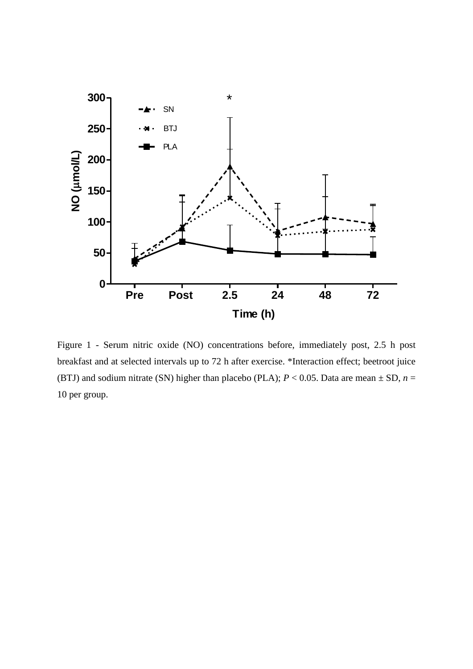

Figure 1 - Serum nitric oxide (NO) concentrations before, immediately post, 2.5 h post breakfast and at selected intervals up to 72 h after exercise. \*Interaction effect; beetroot juice (BTJ) and sodium nitrate (SN) higher than placebo (PLA);  $P < 0.05$ . Data are mean  $\pm$  SD,  $n =$ 10 per group.